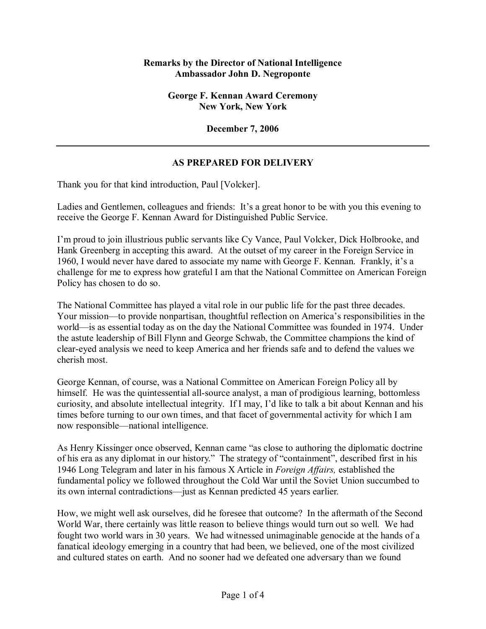## **Remarks by the Director of National Intelligence Ambassador John D. Negroponte**

**George F. Kennan Award Ceremony New York, New York** 

**December 7, 2006** 

## **AS PREPARED FOR DELIVERY**

Thank you for that kind introduction, Paul [Volcker].

Ladies and Gentlemen, colleagues and friends: It's a great honor to be with you this evening to receive the George F. Kennan Award for Distinguished Public Service.

Iím proud to join illustrious public servants like Cy Vance, Paul Volcker, Dick Holbrooke, and Hank Greenberg in accepting this award. At the outset of my career in the Foreign Service in 1960, I would never have dared to associate my name with George F. Kennan. Frankly, it's a challenge for me to express how grateful I am that the National Committee on American Foreign Policy has chosen to do so.

The National Committee has played a vital role in our public life for the past three decades. Your mission—to provide nonpartisan, thoughtful reflection on America's responsibilities in the world—is as essential today as on the day the National Committee was founded in 1974. Under the astute leadership of Bill Flynn and George Schwab, the Committee champions the kind of clear-eyed analysis we need to keep America and her friends safe and to defend the values we cherish most.

George Kennan, of course, was a National Committee on American Foreign Policy all by himself. He was the quintessential all-source analyst, a man of prodigious learning, bottomless curiosity, and absolute intellectual integrity. If I may, I'd like to talk a bit about Kennan and his times before turning to our own times, and that facet of governmental activity for which I am now responsible—national intelligence.

As Henry Kissinger once observed, Kennan came "as close to authoring the diplomatic doctrine of his era as any diplomat in our history." The strategy of "containment", described first in his 1946 Long Telegram and later in his famous X Article in *Foreign Affairs,* established the fundamental policy we followed throughout the Cold War until the Soviet Union succumbed to its own internal contradictions—just as Kennan predicted 45 years earlier.

How, we might well ask ourselves, did he foresee that outcome? In the aftermath of the Second World War, there certainly was little reason to believe things would turn out so well. We had fought two world wars in 30 years. We had witnessed unimaginable genocide at the hands of a fanatical ideology emerging in a country that had been, we believed, one of the most civilized and cultured states on earth. And no sooner had we defeated one adversary than we found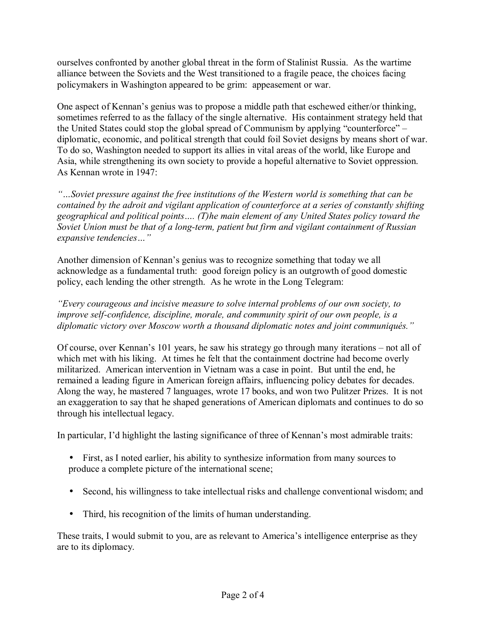ourselves confronted by another global threat in the form of Stalinist Russia. As the wartime alliance between the Soviets and the West transitioned to a fragile peace, the choices facing policymakers in Washington appeared to be grim: appeasement or war.

One aspect of Kennanís genius was to propose a middle path that eschewed either/or thinking, sometimes referred to as the fallacy of the single alternative. His containment strategy held that the United States could stop the global spread of Communism by applying "counterforce"  $$ diplomatic, economic, and political strength that could foil Soviet designs by means short of war. To do so, Washington needed to support its allies in vital areas of the world, like Europe and Asia, while strengthening its own society to provide a hopeful alternative to Soviet oppression. As Kennan wrote in 1947:

*ìÖSoviet pressure against the free institutions of the Western world is something that can be contained by the adroit and vigilant application of counterforce at a series of constantly shifting*  geographical and political points.... (T)he main element of any United States policy toward the *Soviet Union must be that of a long-term, patient but firm and vigilant containment of Russian expansive tendencies...*"

Another dimension of Kennan's genius was to recognize something that today we all acknowledge as a fundamental truth: good foreign policy is an outgrowth of good domestic policy, each lending the other strength. As he wrote in the Long Telegram:

*ìEvery courageous and incisive measure to solve internal problems of our own society, to improve self-confidence, discipline, morale, and community spirit of our own people, is a*  diplomatic victory over Moscow worth a thousand diplomatic notes and joint communiqués.<sup>"</sup>

Of course, over Kennan's 101 years, he saw his strategy go through many iterations – not all of which met with his liking. At times he felt that the containment doctrine had become overly militarized. American intervention in Vietnam was a case in point. But until the end, he remained a leading figure in American foreign affairs, influencing policy debates for decades. Along the way, he mastered 7 languages, wrote 17 books, and won two Pulitzer Prizes. It is not an exaggeration to say that he shaped generations of American diplomats and continues to do so through his intellectual legacy.

In particular, I'd highlight the lasting significance of three of Kennan's most admirable traits:

- First, as I noted earlier, his ability to synthesize information from many sources to produce a complete picture of the international scene;
- Second, his willingness to take intellectual risks and challenge conventional wisdom; and
- Third, his recognition of the limits of human understanding.

These traits, I would submit to you, are as relevant to America's intelligence enterprise as they are to its diplomacy.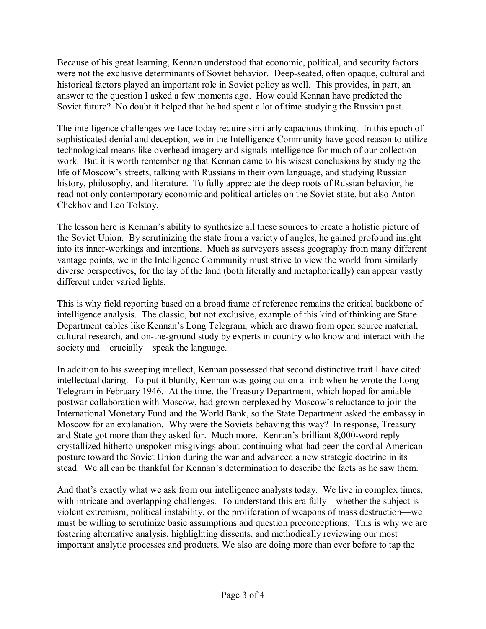Because of his great learning, Kennan understood that economic, political, and security factors were not the exclusive determinants of Soviet behavior. Deep-seated, often opaque, cultural and historical factors played an important role in Soviet policy as well. This provides, in part, an answer to the question I asked a few moments ago. How could Kennan have predicted the Soviet future? No doubt it helped that he had spent a lot of time studying the Russian past.

The intelligence challenges we face today require similarly capacious thinking. In this epoch of sophisticated denial and deception, we in the Intelligence Community have good reason to utilize technological means like overhead imagery and signals intelligence for much of our collection work. But it is worth remembering that Kennan came to his wisest conclusions by studying the life of Moscow's streets, talking with Russians in their own language, and studying Russian history, philosophy, and literature. To fully appreciate the deep roots of Russian behavior, he read not only contemporary economic and political articles on the Soviet state, but also Anton Chekhov and Leo Tolstoy.

The lesson here is Kennan's ability to synthesize all these sources to create a holistic picture of the Soviet Union. By scrutinizing the state from a variety of angles, he gained profound insight into its inner-workings and intentions. Much as surveyors assess geography from many different vantage points, we in the Intelligence Community must strive to view the world from similarly diverse perspectives, for the lay of the land (both literally and metaphorically) can appear vastly different under varied lights.

This is why field reporting based on a broad frame of reference remains the critical backbone of intelligence analysis. The classic, but not exclusive, example of this kind of thinking are State Department cables like Kennan's Long Telegram, which are drawn from open source material, cultural research, and on-the-ground study by experts in country who know and interact with the society and  $-$  crucially  $-$  speak the language.

In addition to his sweeping intellect, Kennan possessed that second distinctive trait I have cited: intellectual daring. To put it bluntly, Kennan was going out on a limb when he wrote the Long Telegram in February 1946. At the time, the Treasury Department, which hoped for amiable postwar collaboration with Moscow, had grown perplexed by Moscow's reluctance to join the International Monetary Fund and the World Bank, so the State Department asked the embassy in Moscow for an explanation. Why were the Soviets behaving this way? In response, Treasury and State got more than they asked for. Much more. Kennan's brilliant 8,000-word reply crystallized hitherto unspoken misgivings about continuing what had been the cordial American posture toward the Soviet Union during the war and advanced a new strategic doctrine in its stead. We all can be thankful for Kennan's determination to describe the facts as he saw them.

And that's exactly what we ask from our intelligence analysts today. We live in complex times, with intricate and overlapping challenges. To understand this era fully—whether the subject is violent extremism, political instability, or the proliferation of weapons of mass destruction—we must be willing to scrutinize basic assumptions and question preconceptions. This is why we are fostering alternative analysis, highlighting dissents, and methodically reviewing our most important analytic processes and products. We also are doing more than ever before to tap the